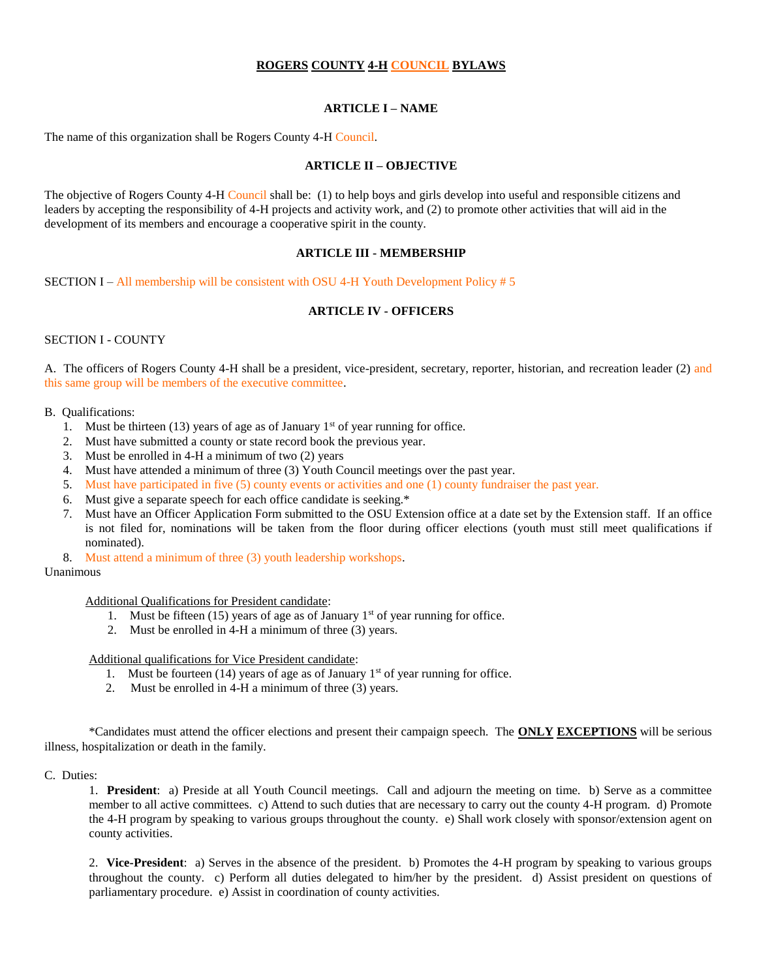## **ROGERS COUNTY 4-H COUNCIL BYLAWS**

## **ARTICLE I – NAME**

The name of this organization shall be Rogers County 4-H Council.

### **ARTICLE II – OBJECTIVE**

The objective of Rogers County 4-H Council shall be: (1) to help boys and girls develop into useful and responsible citizens and leaders by accepting the responsibility of 4-H projects and activity work, and (2) to promote other activities that will aid in the development of its members and encourage a cooperative spirit in the county.

### **ARTICLE III - MEMBERSHIP**

SECTION I – All membership will be consistent with OSU 4-H Youth Development Policy # 5

### **ARTICLE IV - OFFICERS**

### SECTION I - COUNTY

A. The officers of Rogers County 4-H shall be a president, vice-president, secretary, reporter, historian, and recreation leader (2) and this same group will be members of the executive committee.

#### B. Qualifications:

- 1. Must be thirteen (13) years of age as of January  $1<sup>st</sup>$  of year running for office.
- 2. Must have submitted a county or state record book the previous year.
- 3. Must be enrolled in 4-H a minimum of two (2) years
- 4. Must have attended a minimum of three (3) Youth Council meetings over the past year.
- 5. Must have participated in five (5) county events or activities and one (1) county fundraiser the past year.
- 6. Must give a separate speech for each office candidate is seeking.\*
- 7. Must have an Officer Application Form submitted to the OSU Extension office at a date set by the Extension staff. If an office is not filed for, nominations will be taken from the floor during officer elections (youth must still meet qualifications if nominated).
- 8. Must attend a minimum of three (3) youth leadership workshops.

### Unanimous

Additional Qualifications for President candidate:

- 1. Must be fifteen (15) years of age as of January  $1<sup>st</sup>$  of year running for office.
- 2. Must be enrolled in 4-H a minimum of three (3) years.

Additional qualifications for Vice President candidate:

- 1. Must be fourteen (14) years of age as of January  $1<sup>st</sup>$  of year running for office.
- 2. Must be enrolled in 4-H a minimum of three (3) years.

\*Candidates must attend the officer elections and present their campaign speech. The **ONLY EXCEPTIONS** will be serious illness, hospitalization or death in the family.

C. Duties:

1. **President**: a) Preside at all Youth Council meetings. Call and adjourn the meeting on time. b) Serve as a committee member to all active committees. c) Attend to such duties that are necessary to carry out the county 4-H program. d) Promote the 4-H program by speaking to various groups throughout the county. e) Shall work closely with sponsor/extension agent on county activities.

2. **Vice-President**: a) Serves in the absence of the president. b) Promotes the 4-H program by speaking to various groups throughout the county. c) Perform all duties delegated to him/her by the president. d) Assist president on questions of parliamentary procedure. e) Assist in coordination of county activities.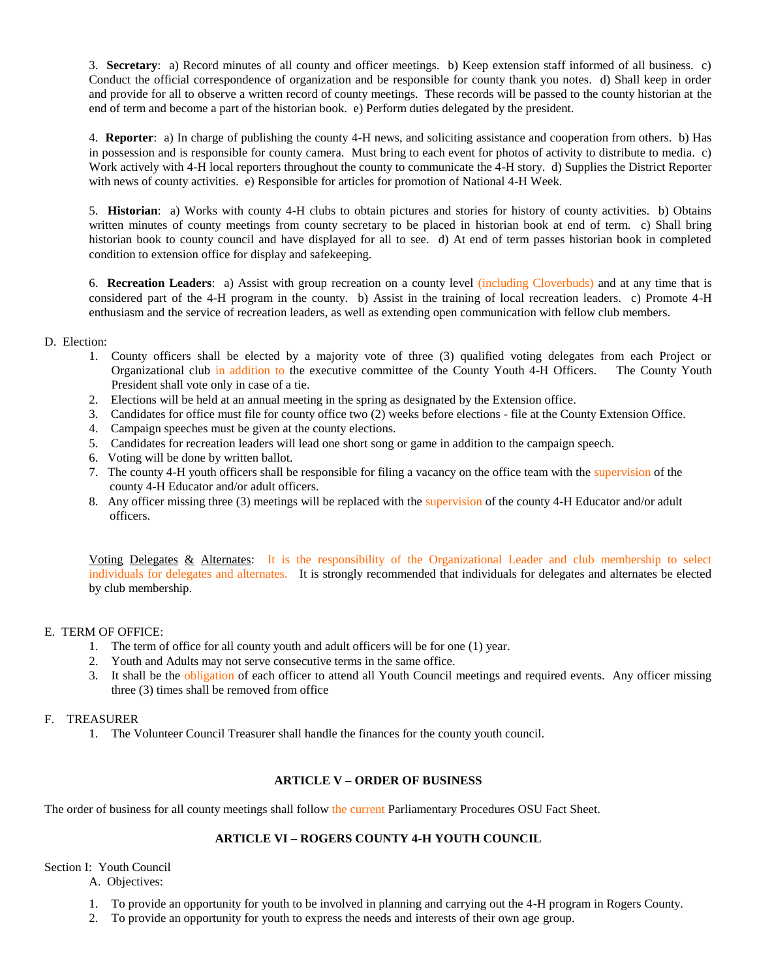3. **Secretary**: a) Record minutes of all county and officer meetings. b) Keep extension staff informed of all business. c) Conduct the official correspondence of organization and be responsible for county thank you notes. d) Shall keep in order and provide for all to observe a written record of county meetings. These records will be passed to the county historian at the end of term and become a part of the historian book. e) Perform duties delegated by the president.

4. **Reporter**: a) In charge of publishing the county 4-H news, and soliciting assistance and cooperation from others. b) Has in possession and is responsible for county camera. Must bring to each event for photos of activity to distribute to media. c) Work actively with 4-H local reporters throughout the county to communicate the 4-H story. d) Supplies the District Reporter with news of county activities. e) Responsible for articles for promotion of National 4-H Week.

5. **Historian**: a) Works with county 4-H clubs to obtain pictures and stories for history of county activities. b) Obtains written minutes of county meetings from county secretary to be placed in historian book at end of term. c) Shall bring historian book to county council and have displayed for all to see. d) At end of term passes historian book in completed condition to extension office for display and safekeeping.

6. **Recreation Leaders**: a) Assist with group recreation on a county level (including Cloverbuds) and at any time that is considered part of the 4-H program in the county. b) Assist in the training of local recreation leaders. c) Promote 4-H enthusiasm and the service of recreation leaders, as well as extending open communication with fellow club members.

## D. Election:

- 1. County officers shall be elected by a majority vote of three (3) qualified voting delegates from each Project or Organizational club in addition to the executive committee of the County Youth 4-H Officers. The County Youth President shall vote only in case of a tie.
- 2. Elections will be held at an annual meeting in the spring as designated by the Extension office.
- 3. Candidates for office must file for county office two (2) weeks before elections file at the County Extension Office.
- 4. Campaign speeches must be given at the county elections.
- 5. Candidates for recreation leaders will lead one short song or game in addition to the campaign speech.
- 6. Voting will be done by written ballot.
- 7. The county 4-H youth officers shall be responsible for filing a vacancy on the office team with the supervision of the county 4-H Educator and/or adult officers.
- 8. Any officer missing three (3) meetings will be replaced with the supervision of the county 4-H Educator and/or adult officers.

Voting Delegates & Alternates: It is the responsibility of the Organizational Leader and club membership to select individuals for delegates and alternates. It is strongly recommended that individuals for delegates and alternates be elected by club membership.

## E. TERM OF OFFICE:

- 1. The term of office for all county youth and adult officers will be for one (1) year.
- 2. Youth and Adults may not serve consecutive terms in the same office.
- 3. It shall be the obligation of each officer to attend all Youth Council meetings and required events. Any officer missing three (3) times shall be removed from office

## F. TREASURER

1. The Volunteer Council Treasurer shall handle the finances for the county youth council.

# **ARTICLE V – ORDER OF BUSINESS**

The order of business for all county meetings shall follow the current Parliamentary Procedures OSU Fact Sheet.

# **ARTICLE VI – ROGERS COUNTY 4-H YOUTH COUNCIL**

# Section I: Youth Council

A. Objectives:

- 1. To provide an opportunity for youth to be involved in planning and carrying out the 4-H program in Rogers County.
- 2. To provide an opportunity for youth to express the needs and interests of their own age group.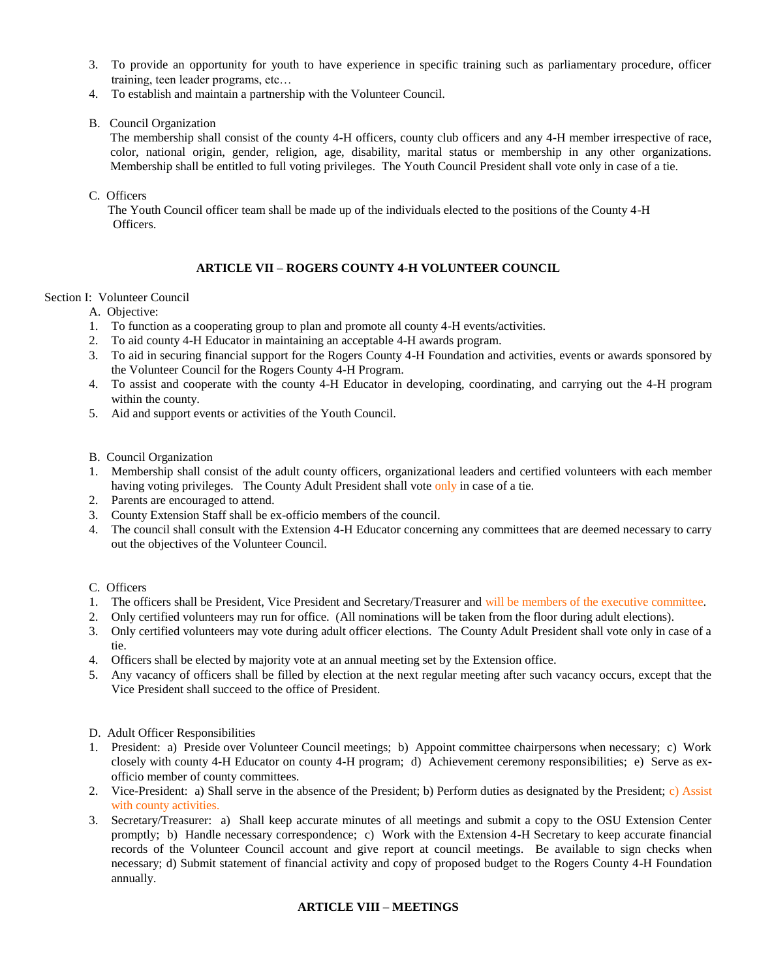- 3. To provide an opportunity for youth to have experience in specific training such as parliamentary procedure, officer training, teen leader programs, etc…
- 4. To establish and maintain a partnership with the Volunteer Council.

### B. Council Organization

The membership shall consist of the county 4-H officers, county club officers and any 4-H member irrespective of race, color, national origin, gender, religion, age, disability, marital status or membership in any other organizations. Membership shall be entitled to full voting privileges. The Youth Council President shall vote only in case of a tie.

C. Officers

 The Youth Council officer team shall be made up of the individuals elected to the positions of the County 4-H Officers.

## **ARTICLE VII – ROGERS COUNTY 4-H VOLUNTEER COUNCIL**

### Section I: Volunteer Council

- A. Objective:
- 1. To function as a cooperating group to plan and promote all county 4-H events/activities.
- 2. To aid county 4-H Educator in maintaining an acceptable 4-H awards program.
- 3. To aid in securing financial support for the Rogers County 4-H Foundation and activities, events or awards sponsored by the Volunteer Council for the Rogers County 4-H Program.
- 4. To assist and cooperate with the county 4-H Educator in developing, coordinating, and carrying out the 4-H program within the county.
- 5. Aid and support events or activities of the Youth Council.
- B. Council Organization
- 1. Membership shall consist of the adult county officers, organizational leaders and certified volunteers with each member having voting privileges. The County Adult President shall vote only in case of a tie.
- 2. Parents are encouraged to attend.
- 3. County Extension Staff shall be ex-officio members of the council.
- 4. The council shall consult with the Extension 4-H Educator concerning any committees that are deemed necessary to carry out the objectives of the Volunteer Council.
- C. Officers
- 1. The officers shall be President, Vice President and Secretary/Treasurer and will be members of the executive committee.
- 2. Only certified volunteers may run for office. (All nominations will be taken from the floor during adult elections).
- 3. Only certified volunteers may vote during adult officer elections. The County Adult President shall vote only in case of a tie.
- 4. Officers shall be elected by majority vote at an annual meeting set by the Extension office.
- 5. Any vacancy of officers shall be filled by election at the next regular meeting after such vacancy occurs, except that the Vice President shall succeed to the office of President.
- D. Adult Officer Responsibilities
- 1. President: a) Preside over Volunteer Council meetings; b) Appoint committee chairpersons when necessary; c) Work closely with county 4-H Educator on county 4-H program; d) Achievement ceremony responsibilities; e) Serve as exofficio member of county committees.
- 2. Vice-President: a) Shall serve in the absence of the President; b) Perform duties as designated by the President; c) Assist with county activities.
- 3. Secretary/Treasurer: a) Shall keep accurate minutes of all meetings and submit a copy to the OSU Extension Center promptly; b) Handle necessary correspondence; c) Work with the Extension 4-H Secretary to keep accurate financial records of the Volunteer Council account and give report at council meetings. Be available to sign checks when necessary; d) Submit statement of financial activity and copy of proposed budget to the Rogers County 4-H Foundation annually.

## **ARTICLE VIII – MEETINGS**